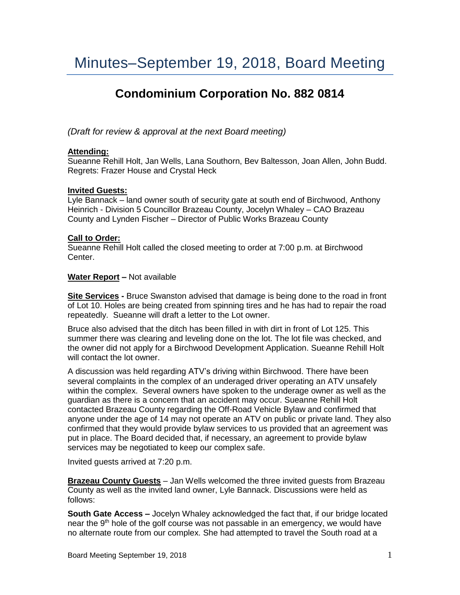# **Condominium Corporation No. 882 0814**

*(Draft for review & approval at the next Board meeting)*

## **Attending:**

Sueanne Rehill Holt, Jan Wells, Lana Southorn, Bev Baltesson, Joan Allen, John Budd. Regrets: Frazer House and Crystal Heck

## **Invited Guests:**

Lyle Bannack – land owner south of security gate at south end of Birchwood, Anthony Heinrich - Division 5 Councillor Brazeau County, Jocelyn Whaley – CAO Brazeau County and Lynden Fischer – Director of Public Works Brazeau County

## **Call to Order:**

Sueanne Rehill Holt called the closed meeting to order at 7:00 p.m. at Birchwood Center.

#### **Water Report –** Not available

**Site Services -** Bruce Swanston advised that damage is being done to the road in front of Lot 10. Holes are being created from spinning tires and he has had to repair the road repeatedly. Sueanne will draft a letter to the Lot owner.

Bruce also advised that the ditch has been filled in with dirt in front of Lot 125. This summer there was clearing and leveling done on the lot. The lot file was checked, and the owner did not apply for a Birchwood Development Application. Sueanne Rehill Holt will contact the lot owner.

A discussion was held regarding ATV's driving within Birchwood. There have been several complaints in the complex of an underaged driver operating an ATV unsafely within the complex. Several owners have spoken to the underage owner as well as the guardian as there is a concern that an accident may occur. Sueanne Rehill Holt contacted Brazeau County regarding the Off-Road Vehicle Bylaw and confirmed that anyone under the age of 14 may not operate an ATV on public or private land. They also confirmed that they would provide bylaw services to us provided that an agreement was put in place. The Board decided that, if necessary, an agreement to provide bylaw services may be negotiated to keep our complex safe.

Invited guests arrived at 7:20 p.m.

**Brazeau County Guests** – Jan Wells welcomed the three invited guests from Brazeau County as well as the invited land owner, Lyle Bannack. Discussions were held as follows:

**South Gate Access –** Jocelyn Whaley acknowledged the fact that, if our bridge located near the  $9<sup>th</sup>$  hole of the golf course was not passable in an emergency, we would have no alternate route from our complex. She had attempted to travel the South road at a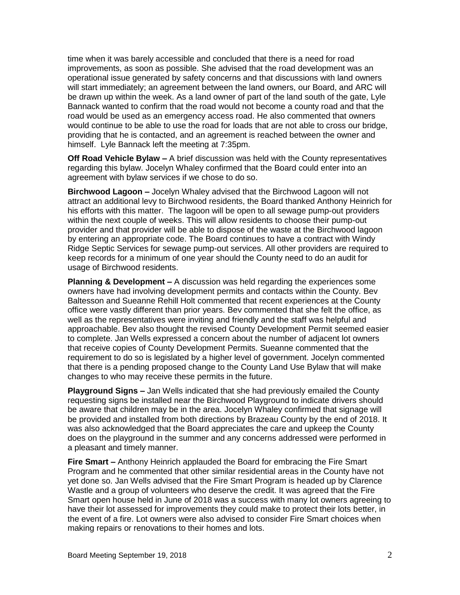time when it was barely accessible and concluded that there is a need for road improvements, as soon as possible. She advised that the road development was an operational issue generated by safety concerns and that discussions with land owners will start immediately; an agreement between the land owners, our Board, and ARC will be drawn up within the week. As a land owner of part of the land south of the gate, Lyle Bannack wanted to confirm that the road would not become a county road and that the road would be used as an emergency access road. He also commented that owners would continue to be able to use the road for loads that are not able to cross our bridge, providing that he is contacted, and an agreement is reached between the owner and himself. Lyle Bannack left the meeting at 7:35pm.

**Off Road Vehicle Bylaw –** A brief discussion was held with the County representatives regarding this bylaw. Jocelyn Whaley confirmed that the Board could enter into an agreement with bylaw services if we chose to do so.

**Birchwood Lagoon –** Jocelyn Whaley advised that the Birchwood Lagoon will not attract an additional levy to Birchwood residents, the Board thanked Anthony Heinrich for his efforts with this matter. The lagoon will be open to all sewage pump-out providers within the next couple of weeks. This will allow residents to choose their pump-out provider and that provider will be able to dispose of the waste at the Birchwood lagoon by entering an appropriate code. The Board continues to have a contract with Windy Ridge Septic Services for sewage pump-out services. All other providers are required to keep records for a minimum of one year should the County need to do an audit for usage of Birchwood residents.

**Planning & Development –** A discussion was held regarding the experiences some owners have had involving development permits and contacts within the County. Bev Baltesson and Sueanne Rehill Holt commented that recent experiences at the County office were vastly different than prior years. Bev commented that she felt the office, as well as the representatives were inviting and friendly and the staff was helpful and approachable. Bev also thought the revised County Development Permit seemed easier to complete. Jan Wells expressed a concern about the number of adjacent lot owners that receive copies of County Development Permits. Sueanne commented that the requirement to do so is legislated by a higher level of government. Jocelyn commented that there is a pending proposed change to the County Land Use Bylaw that will make changes to who may receive these permits in the future.

**Playground Signs –** Jan Wells indicated that she had previously emailed the County requesting signs be installed near the Birchwood Playground to indicate drivers should be aware that children may be in the area. Jocelyn Whaley confirmed that signage will be provided and installed from both directions by Brazeau County by the end of 2018. It was also acknowledged that the Board appreciates the care and upkeep the County does on the playground in the summer and any concerns addressed were performed in a pleasant and timely manner.

**Fire Smart –** Anthony Heinrich applauded the Board for embracing the Fire Smart Program and he commented that other similar residential areas in the County have not yet done so. Jan Wells advised that the Fire Smart Program is headed up by Clarence Wastle and a group of volunteers who deserve the credit. It was agreed that the Fire Smart open house held in June of 2018 was a success with many lot owners agreeing to have their lot assessed for improvements they could make to protect their lots better, in the event of a fire. Lot owners were also advised to consider Fire Smart choices when making repairs or renovations to their homes and lots.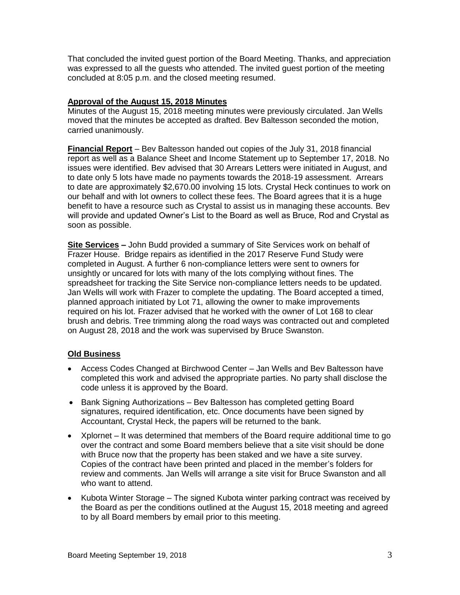That concluded the invited guest portion of the Board Meeting. Thanks, and appreciation was expressed to all the guests who attended. The invited guest portion of the meeting concluded at 8:05 p.m. and the closed meeting resumed.

# **Approval of the August 15, 2018 Minutes**

Minutes of the August 15, 2018 meeting minutes were previously circulated. Jan Wells moved that the minutes be accepted as drafted. Bev Baltesson seconded the motion, carried unanimously.

**Financial Report** – Bev Baltesson handed out copies of the July 31, 2018 financial report as well as a Balance Sheet and Income Statement up to September 17, 2018. No issues were identified. Bev advised that 30 Arrears Letters were initiated in August, and to date only 5 lots have made no payments towards the 2018-19 assessment. Arrears to date are approximately \$2,670.00 involving 15 lots. Crystal Heck continues to work on our behalf and with lot owners to collect these fees. The Board agrees that it is a huge benefit to have a resource such as Crystal to assist us in managing these accounts. Bev will provide and updated Owner's List to the Board as well as Bruce, Rod and Crystal as soon as possible.

**Site Services –** John Budd provided a summary of Site Services work on behalf of Frazer House. Bridge repairs as identified in the 2017 Reserve Fund Study were completed in August. A further 6 non-compliance letters were sent to owners for unsightly or uncared for lots with many of the lots complying without fines. The spreadsheet for tracking the Site Service non-compliance letters needs to be updated. Jan Wells will work with Frazer to complete the updating. The Board accepted a timed, planned approach initiated by Lot 71, allowing the owner to make improvements required on his lot. Frazer advised that he worked with the owner of Lot 168 to clear brush and debris. Tree trimming along the road ways was contracted out and completed on August 28, 2018 and the work was supervised by Bruce Swanston.

## **Old Business**

- Access Codes Changed at Birchwood Center Jan Wells and Bev Baltesson have completed this work and advised the appropriate parties. No party shall disclose the code unless it is approved by the Board.
- Bank Signing Authorizations Bev Baltesson has completed getting Board signatures, required identification, etc. Once documents have been signed by Accountant, Crystal Heck, the papers will be returned to the bank.
- Xplornet It was determined that members of the Board require additional time to go over the contract and some Board members believe that a site visit should be done with Bruce now that the property has been staked and we have a site survey. Copies of the contract have been printed and placed in the member's folders for review and comments. Jan Wells will arrange a site visit for Bruce Swanston and all who want to attend.
- Kubota Winter Storage The signed Kubota winter parking contract was received by the Board as per the conditions outlined at the August 15, 2018 meeting and agreed to by all Board members by email prior to this meeting.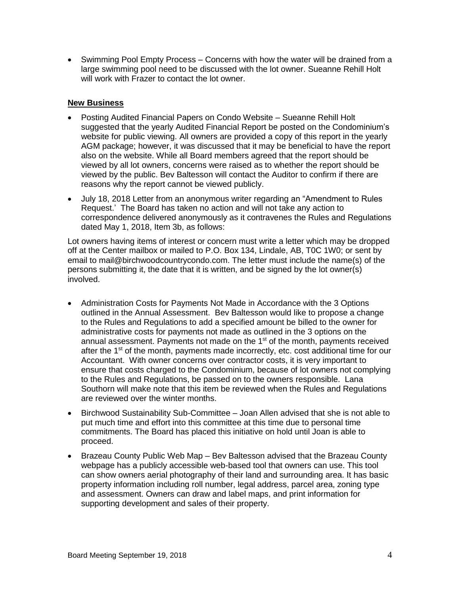• Swimming Pool Empty Process – Concerns with how the water will be drained from a large swimming pool need to be discussed with the lot owner. Sueanne Rehill Holt will work with Frazer to contact the lot owner.

# **New Business**

- Posting Audited Financial Papers on Condo Website Sueanne Rehill Holt suggested that the yearly Audited Financial Report be posted on the Condominium's website for public viewing. All owners are provided a copy of this report in the yearly AGM package; however, it was discussed that it may be beneficial to have the report also on the website. While all Board members agreed that the report should be viewed by all lot owners, concerns were raised as to whether the report should be viewed by the public. Bev Baltesson will contact the Auditor to confirm if there are reasons why the report cannot be viewed publicly.
- July 18, 2018 Letter from an anonymous writer regarding an "Amendment to Rules Request.' The Board has taken no action and will not take any action to correspondence delivered anonymously as it contravenes the Rules and Regulations dated May 1, 2018, Item 3b, as follows:

Lot owners having items of interest or concern must write a letter which may be dropped off at the Center mailbox or mailed to P.O. Box 134, Lindale, AB, T0C 1W0; or sent by email to mail@birchwoodcountrycondo.com. The letter must include the name(s) of the persons submitting it, the date that it is written, and be signed by the lot owner(s) involved.

- Administration Costs for Payments Not Made in Accordance with the 3 Options outlined in the Annual Assessment. Bev Baltesson would like to propose a change to the Rules and Regulations to add a specified amount be billed to the owner for administrative costs for payments not made as outlined in the 3 options on the annual assessment. Payments not made on the 1<sup>st</sup> of the month, payments received after the 1<sup>st</sup> of the month, payments made incorrectly, etc. cost additional time for our Accountant. With owner concerns over contractor costs, it is very important to ensure that costs charged to the Condominium, because of lot owners not complying to the Rules and Regulations, be passed on to the owners responsible. Lana Southorn will make note that this item be reviewed when the Rules and Regulations are reviewed over the winter months.
- Birchwood Sustainability Sub-Committee Joan Allen advised that she is not able to put much time and effort into this committee at this time due to personal time commitments. The Board has placed this initiative on hold until Joan is able to proceed.
- Brazeau County Public Web Map Bev Baltesson advised that the Brazeau County webpage has a publicly accessible web-based tool that owners can use. This tool can show owners aerial photography of their land and surrounding area. It has basic property information including roll number, legal address, parcel area, zoning type and assessment. Owners can draw and label maps, and print information for supporting development and sales of their property.